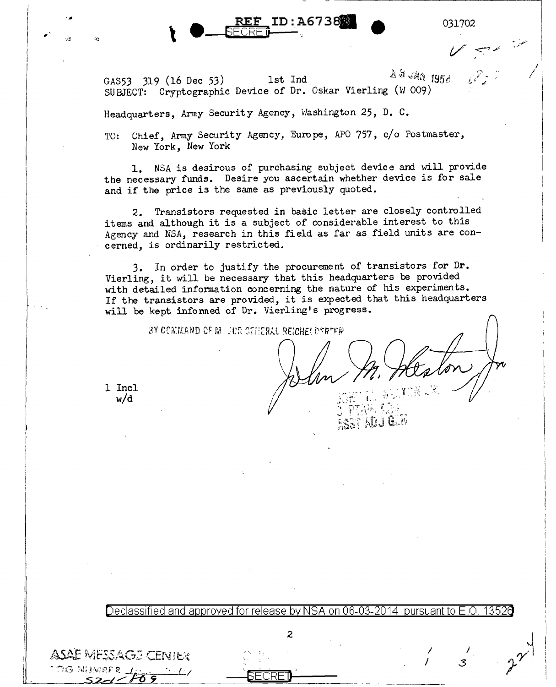$\bullet$  . REP ID:A6 / 3888  $\bullet$  031702

I I

GAS53 319 (16 Dec 53) 1st Ind  $4.853$   $195.6$ SUBJECT: Cryptographic Device of Dr. Oskar Vierling (W 009)

Headquarters, Army Security Agency, Washington 25, D. C.

, \ a RE:E" ID:A.673otml

TO: Chief, Army Security Agency, Europe, APO 757, c/o Postmaster, New York, New York

1. NSA is desirous of purchasing subject device and will provide the necessary funds. Desire you ascertain whether device is for sale and if the price is the same as previously quoted.

2. Transistors requested in basic letter are closely controlled items and although it is a subject of considerable interest to this Agency and NSA, research in this field as far as field units are concerned, is ordinarily restricted.

3. In order to justify the procurement of transistors for Dr. Vierling, it will be necessary that this headquarters be provided with detailed infonnation concerning the nature of his experiments. If the transistors are provided, it is expected that this headquarters will be kept informed of Dr. Vierling's progress.

BY COMMAND OF MILJER GEHERAL REICHELDERER

ASST ADJ GIM

I I

) *3* 

1 Incl w/d

ASAE MESSAGE CENTER

1 OG NIJME

.,.

Declassified and approved for release by NSA on 06-03-2014 pursuant to E.O. 1352 $\overline{\text{d}}$ 

2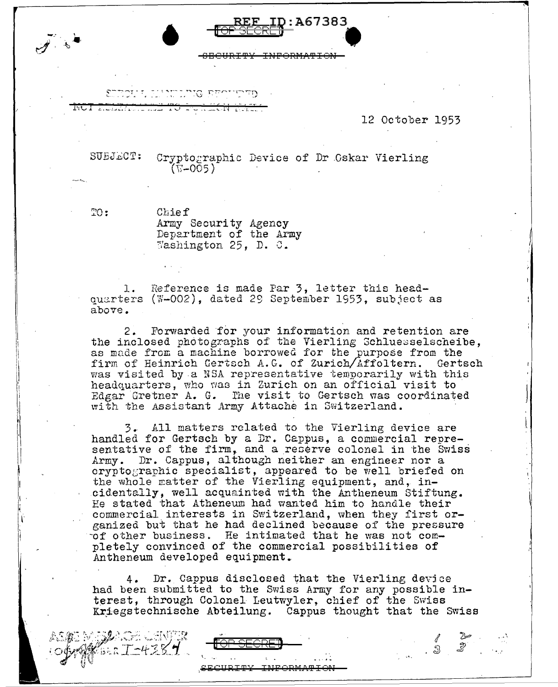12 October 1953

I

 $\vert$ !

~ -\

SUBJECT: Cryptographic Device of Dr Cskar Vierling  $(T - 005)$ 

REF ID: A67383

<u>[OP SECRET</u>

<del>INFORMATI</del>

 $\mathbb{R}$ 

I  $\vert$ 

' I  $\mathbf{I}$ ~

Chief<br>Army Security Agency Department of the Army Washington 25, D. C.

סתייריים סייניתיית

ANG A KOLONIAN DI KOLONIA NG KILIMATING AGAMAT

1. Reference is made Par 3, letter this headquarters (W-002), dated 29 September 1953, subject as above.

2. Forwarded for your information and retention are the inclosed photographs of the Vierling Schluesselscheibe, as made from a machine borrowed for the purpose from the firm of Heinrich Gertsch A.G. of Zurich/Affoltern. Gertsch was visited by a NSA representative temporarily with this headquarters, who was in Zurich on an official visit to Edgar Gretner A. G. The visit to Gertsch was coordinated with the Assistant Army Attache in Switzerland.

3. All matters related to the Vierling device are handled for Gertsch by a Dr. Cappus, a commercial representative of the firm, and a reGerve colonel in the Swiss Army. Dr. Cappus, although neither an engineer nor a cryptographic specialist, appeared to be well briefed on the whole ratter of the Vierling equipment, and, incidentally, well acquainted with the Antheneum Stiftung. Ee stated that Atheneum had wanted him to handle their commercial. interests in Switzerland, when they first organized but that he had declined because of the pressure  $of$  other business. He intimated that he was not completely convinced of the commercial possibilities of Antheneum developed equipment.

4. Dr. Cappus disclosed ifhat the Vierling devjce had been submitted to the Swiss Army for any possible interest, through Colonel Leutwyler, chief of the Swiss Kriegstechnische Abteilung. Cappus thought that the Swiss

INFORMATION

!OP **SECRElJ** 

'·

 $T - 4384$